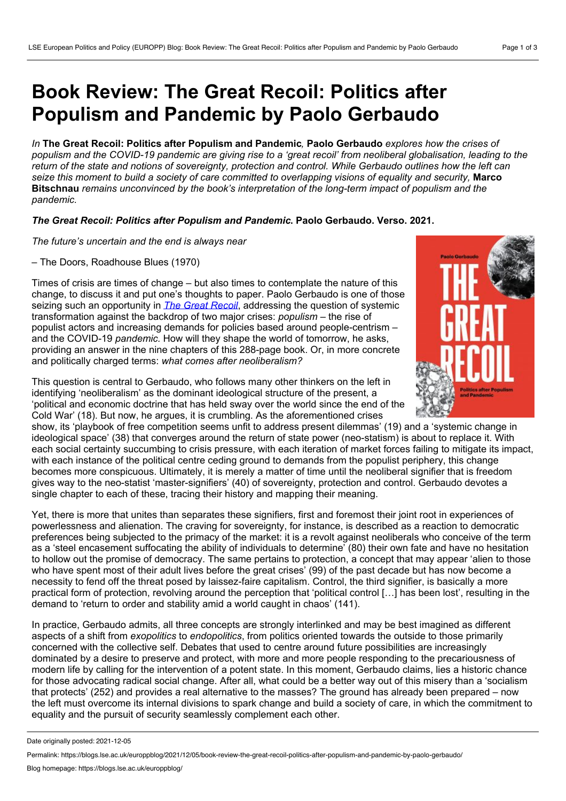## **Book Review: The Great Recoil: Politics after Populism and Pandemic by Paolo Gerbaudo**

*In* **The Great Recoil: Politics after Populism and Pandemic***,* **Paolo Gerbaudo** *explores how the crises of* populism and the COVID-19 pandemic are giving rise to a 'great recoil' from neoliberal globalisation, leading to the return of the state and notions of sovereignty, protection and control. While Gerbaudo outlines how the left can seize this moment to build a society of care committed to overlapping visions of equality and security, Marco **Bitschnau** *remains unconvinced by the book's interpretation of the long-term impact of populism and the pandemic.*

## *The Great Recoil: Politics after Populism and Pandemic***. Paolo Gerbaudo. Verso. 2021.**

*The future's uncertain and the end is always near*

– The Doors, Roadhouse Blues (1970)

Times of crisis are times of change – but also times to contemplate the nature of this change, to discuss it and put one's thoughts to paper. Paolo Gerbaudo is one of those seizing such an opportunity in *The Great [Recoil](https://www.versobooks.com/books/3774-the-great-recoil)*, addressing the question of systemic transformation against the backdrop of two major crises: *populism* – the rise of populist actors and increasing demands for policies based around people-centrism – and the COVID-19 *pandemic.* How will they shape the world of tomorrow, he asks, providing an answer in the nine chapters of this 288-page book. Or, in more concrete and politically charged terms: *what comes after neoliberalism?*

This question is central to Gerbaudo, who follows many other thinkers on the left in identifying 'neoliberalism' as the dominant ideological structure of the present, a 'political and economic doctrine that has held sway over the world since the end of the Cold War' (18). But now, he argues, it is crumbling. As the aforementioned crises



Yet, there is more that unites than separates these signifiers, first and foremost their joint root in experiences of powerlessness and alienation. The craving for sovereignty, for instance, is described as a reaction to democratic preferences being subjected to the primacy of the market: it is a revolt against neoliberals who conceive of the term as a 'steel encasement suffocating the ability of individuals to determine' (80) their own fate and have no hesitation to hollow out the promise of democracy. The same pertains to protection, a concept that may appear 'alien to those who have spent most of their adult lives before the great crises' (99) of the past decade but has now become a necessity to fend off the threat posed by laissez-faire capitalism. Control, the third signifier, is basically a more practical form of protection, revolving around the perception that 'political control […] has been lost', resulting in the demand to 'return to order and stability amid a world caught in chaos' (141).

In practice, Gerbaudo admits, all three concepts are strongly interlinked and may be best imagined as different aspects of a shift from *exopolitics* to *endopolitics*, from politics oriented towards the outside to those primarily concerned with the collective self. Debates that used to centre around future possibilities are increasingly dominated by a desire to preserve and protect, with more and more people responding to the precariousness of modern life by calling for the intervention of a potent state. In this moment, Gerbaudo claims, lies a historic chance for those advocating radical social change. After all, what could be a better way out of this misery than a 'socialism that protects' (252) and provides a real alternative to the masses? The ground has already been prepared – now the left must overcome its internal divisions to spark change and build a society of care, in which the commitment to equality and the pursuit of security seamlessly complement each other.



Date originally posted: 2021-12-05

Permalink: https://blogs.lse.ac.uk/europpblog/2021/12/05/book-review-the-great-recoil-politics-after-populism-and-pandemic-by-paolo-gerbaudo/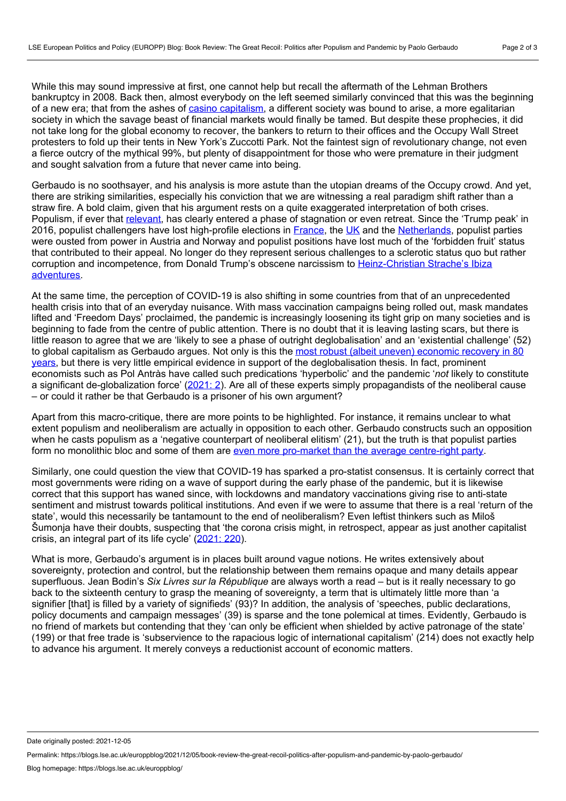While this may sound impressive at first, one cannot help but recall the aftermath of the Lehman Brothers bankruptcy in 2008. Back then, almost everybody on the left seemed similarly convinced that this was the beginning of a new era; that from the ashes of casino [capitalism,](https://manchesteruniversitypress.co.uk/9781784991340/) a different society was bound to arise, a more egalitarian society in which the savage beast of financial markets would finally be tamed. But despite these prophecies, it did not take long for the global economy to recover, the bankers to return to their offices and the Occupy Wall Street protesters to fold up their tents in New York's Zuccotti Park. Not the faintest sign of revolutionary change, not even a fierce outcry of the mythical 99%, but plenty of disappointment for those who were premature in their judgment and sought salvation from a future that never came into being.

Gerbaudo is no soothsayer, and his analysis is more astute than the utopian dreams of the Occupy crowd. And yet, there are striking similarities, especially his conviction that we are witnessing a real paradigm shift rather than a straw fire. A bold claim, given that his argument rests on a quite exaggerated interpretation of both crises. Populism, if ever that [relevant](https://www.cambridge.org/core/journals/perspectives-on-politics/article/abs/myth-of-global-populism/4768B361D346DADE91D3C150011CB999), has clearly entered a phase of stagnation or even retreat. Since the 'Trump peak' in 2016, populist challengers have lost high-profile elections in [France,](https://www.thetimes.co.uk/article/landslide-for-macron-fns37zvpq) the [UK](https://www.economist.com/britain/2019/12/13/jeremy-corbyns-crushing-defeat) and the [Netherlands](https://www.bloomberg.com/news/articles/2021-03-17/dutch-hand-fourth-term-to-prime-minister-rutte-exit-poll-shows), populist parties were ousted from power in Austria and Norway and populist positions have lost much of the 'forbidden fruit' status that contributed to their appeal. No longer do they represent serious challenges to a sclerotic status quo but rather corruption and incompetence, from Donald Trump's obscene narcissism to [Heinz-Christian](https://www.bbc.co.uk/news/world-europe-58354887) Strache's Ibiza adventures.

At the same time, the perception of COVID-19 is also shifting in some countries from that of an unprecedented health crisis into that of an everyday nuisance. With mass vaccination campaigns being rolled out, mask mandates lifted and 'Freedom Days' proclaimed, the pandemic is increasingly loosening its tight grip on many societies and is beginning to fade from the centre of public attention. There is no doubt that it is leaving lasting scars, but there is little reason to agree that we are 'likely to see a phase of outright deglobalisation' and an 'existential challenge' (52) to global capitalism as Gerbaudo argues. Not only is this the most robust (albeit uneven) economic recovery in 80 years, but there is very little empirical evidence in support of the [deglobalisation](https://openknowledge.worldbank.org/bitstream/handle/10986/35647/9781464816659.pdf) thesis. In fact, prominent economists such as Pol Antràs have called such predications 'hyperbolic' and the pandemic '*not* likely to constitute a significant de-globalization force' [\(2021:](https://scholar.harvard.edu/antras/publications/de-globalisation-global-value-chains-post-covid-19-age) 2). Are all of these experts simply propagandists of the neoliberal cause – or could it rather be that Gerbaudo is a prisoner of his own argument?

Apart from this macro-critique, there are more points to be highlighted. For instance, it remains unclear to what extent populism and neoliberalism are actually in opposition to each other. Gerbaudo constructs such an opposition when he casts populism as a 'negative counterpart of neoliberal elitism' (21), but the truth is that populist parties form no monolithic bloc and some of them are even more pro-market than the average [centre-right](https://journals.sagepub.com/doi/abs/10.1177/1024529418813834) party.

Similarly, one could question the view that COVID-19 has sparked a pro-statist consensus. It is certainly correct that most governments were riding on a wave of support during the early phase of the pandemic, but it is likewise correct that this support has waned since, with lockdowns and mandatory vaccinations giving rise to anti-state sentiment and mistrust towards political institutions. And even if we were to assume that there is a real 'return of the state', would this necessarily be tantamount to the end of neoliberalism? Even leftist thinkers such as Miloš Šumonja have their doubts, suspecting that 'the corona crisis might, in retrospect, appear as just another capitalist crisis, an integral part of its life cycle' [\(2021:](https://journals.sagepub.com/doi/full/10.1177/0309816820982381) 220).

What is more, Gerbaudo's argument is in places built around vague notions. He writes extensively about sovereignty, protection and control, but the relationship between them remains opaque and many details appear superfluous. Jean Bodin's *Six Livres sur la République* are always worth a read – but is it really necessary to go back to the sixteenth century to grasp the meaning of sovereignty, a term that is ultimately little more than 'a signifier [that] is filled by a variety of signifieds' (93)? In addition, the analysis of 'speeches, public declarations, policy documents and campaign messages' (39) is sparse and the tone polemical at times. Evidently, Gerbaudo is no friend of markets but contending that they 'can only be efficient when shielded by active patronage of the state' (199) or that free trade is 'subservience to the rapacious logic of international capitalism' (214) does not exactly help to advance his argument. It merely conveys a reductionist account of economic matters.

Date originally posted: 2021-12-05

Permalink: https://blogs.lse.ac.uk/europpblog/2021/12/05/book-review-the-great-recoil-politics-after-populism-and-pandemic-by-paolo-gerbaudo/